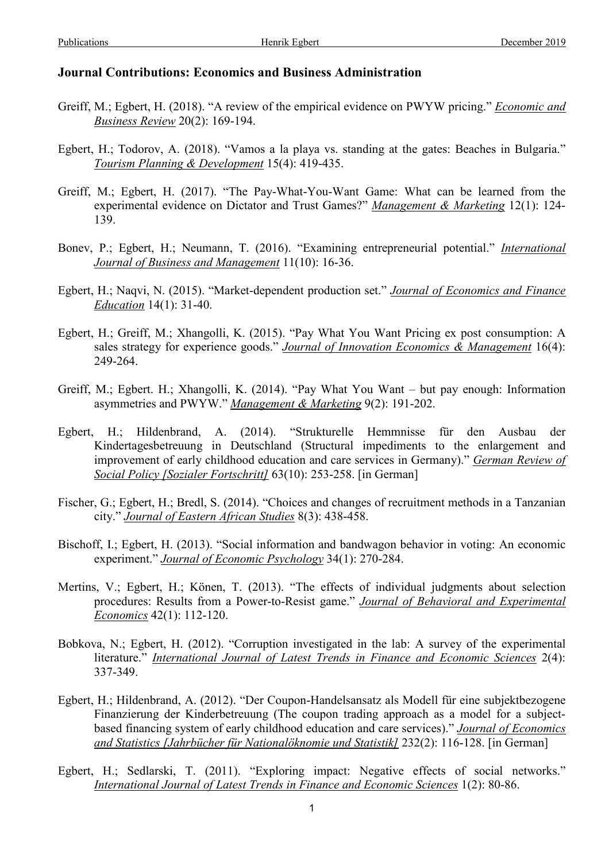## **Journal Contributions: Economics and Business Administration**

- Greiff, M.; Egbert, H. (2018). "A review of the empirical evidence on PWYW pricing." *Economic and Business Review* 20(2): 169-194.
- Egbert, H.; Todorov, A. (2018). "Vamos a la playa vs. standing at the gates: Beaches in Bulgaria." *Tourism Planning & Development* 15(4): 419-435.
- Greiff, M.; Egbert, H. (2017). "The Pay-What-You-Want Game: What can be learned from the experimental evidence on Dictator and Trust Games?" *Management & Marketing* 12(1): 124- 139.
- Bonev, P.; Egbert, H.; Neumann, T. (2016). "Examining entrepreneurial potential." *International Journal of Business and Management* 11(10): 16-36.
- Egbert, H.; Naqvi, N. (2015). "Market-dependent production set." *Journal of Economics and Finance Education* 14(1): 31-40.
- Egbert, H.; Greiff, M.; Xhangolli, K. (2015). "Pay What You Want Pricing ex post consumption: A sales strategy for experience goods." *Journal of Innovation Economics & Management* 16(4): 249-264.
- Greiff, M.; Egbert. H.; Xhangolli, K. (2014). "Pay What You Want but pay enough: Information asymmetries and PWYW." *Management & Marketing* 9(2): 191-202.
- Egbert, H.; Hildenbrand, A. (2014). "Strukturelle Hemmnisse für den Ausbau der Kindertagesbetreuung in Deutschland (Structural impediments to the enlargement and improvement of early childhood education and care services in Germany)." *German Review of Social Policy [Sozialer Fortschritt]* 63(10): 253-258. [in German]
- Fischer, G.; Egbert, H.; Bredl, S. (2014). "Choices and changes of recruitment methods in a Tanzanian city." *Journal of Eastern African Studies* 8(3): 438-458.
- Bischoff, I.; Egbert, H. (2013). "Social information and bandwagon behavior in voting: An economic experiment." *Journal of Economic Psychology* 34(1): 270-284.
- Mertins, V.; Egbert, H.; Könen, T. (2013). "The effects of individual judgments about selection procedures: Results from a Power-to-Resist game." *Journal of Behavioral and Experimental Economics* 42(1): 112-120.
- Bobkova, N.; Egbert, H. (2012). "Corruption investigated in the lab: A survey of the experimental literature." *International Journal of Latest Trends in Finance and Economic Sciences* 2(4): 337-349.
- Egbert, H.; Hildenbrand, A. (2012). "Der Coupon-Handelsansatz als Modell für eine subjektbezogene Finanzierung der Kinderbetreuung (The coupon trading approach as a model for a subjectbased financing system of early childhood education and care services)." *Journal of Economics and Statistics [Jahrbücher für Nationalöknomie und Statistik]* 232(2): 116-128. [in German]
- Egbert, H.; Sedlarski, T. (2011). "Exploring impact: Negative effects of social networks." *International Journal of Latest Trends in Finance and Economic Sciences* 1(2): 80-86.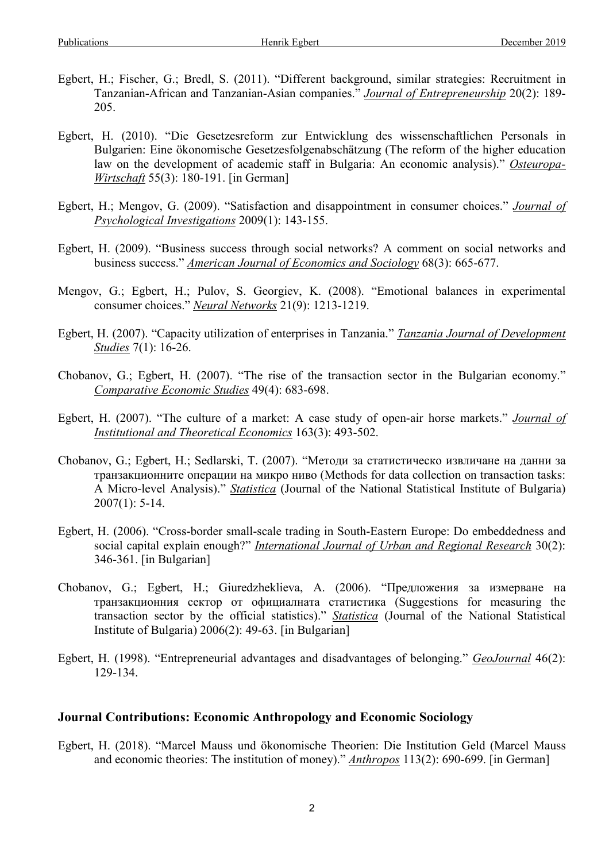- Egbert, H.; Fischer, G.; Bredl, S. (2011). "Different background, similar strategies: Recruitment in Tanzanian-African and Tanzanian-Asian companies." *Journal of Entrepreneurship* 20(2): 189- 205.
- Egbert, H. (2010). "Die Gesetzesreform zur Entwicklung des wissenschaftlichen Personals in Bulgarien: Eine ökonomische Gesetzesfolgenabschätzung (The reform of the higher education law on the development of academic staff in Bulgaria: An economic analysis)." *Osteuropa-Wirtschaft* 55(3): 180-191. [in German]
- Egbert, H.; Mengov, G. (2009). "Satisfaction and disappointment in consumer choices." *Journal of Psychological Investigations* 2009(1): 143-155.
- Egbert, H. (2009). "Business success through social networks? A comment on social networks and business success." *American Journal of Economics and Sociology* 68(3): 665-677.
- Mengov, G.; Egbert, H.; Pulov, S. Georgiev, K. (2008). "Emotional balances in experimental consumer choices." *Neural Networks* 21(9): 1213-1219.
- Egbert, H. (2007). "Capacity utilization of enterprises in Tanzania." *Tanzania Journal of Development Studies* 7(1): 16-26.
- Chobanov, G.; Egbert, H. (2007). "The rise of the transaction sector in the Bulgarian economy." *Comparative Economic Studies* 49(4): 683-698.
- Egbert, H. (2007). "The culture of a market: A case study of open-air horse markets." *Journal of Institutional and Theoretical Economics* 163(3): 493-502.
- Chobanov, G.; Egbert, H.; Sedlarski, T. (2007). "Mетоди за статистическо извличане на данни за транзакционните операции на микро ниво (Methods for data collection on transaction tasks: A Micro-level Analysis)." *Statistica* (Journal of the National Statistical Institute of Bulgaria) 2007(1): 5-14.
- Egbert, H. (2006). "Cross-border small-scale trading in South-Eastern Europe: Do embeddedness and social capital explain enough?" *International Journal of Urban and Regional Research* 30(2): 346-361. [in Bulgarian]
- Chobanov, G.; Egbert, H.; Giuredzheklieva, A. (2006). "Предложения за измерване на транзакционния сектор от официалната статистика (Suggestions for measuring the transaction sector by the official statistics)." *Statistica* (Journal of the National Statistical Institute of Bulgaria) 2006(2): 49-63. [in Bulgarian]
- Egbert, H. (1998). "Entrepreneurial advantages and disadvantages of belonging." *GeoJournal* 46(2): 129-134.

## **Journal Contributions: Economic Anthropology and Economic Sociology**

Egbert, H. (2018). "Marcel Mauss und ökonomische Theorien: Die Institution Geld (Marcel Mauss and economic theories: The institution of money)." *Anthropos* 113(2): 690-699. [in German]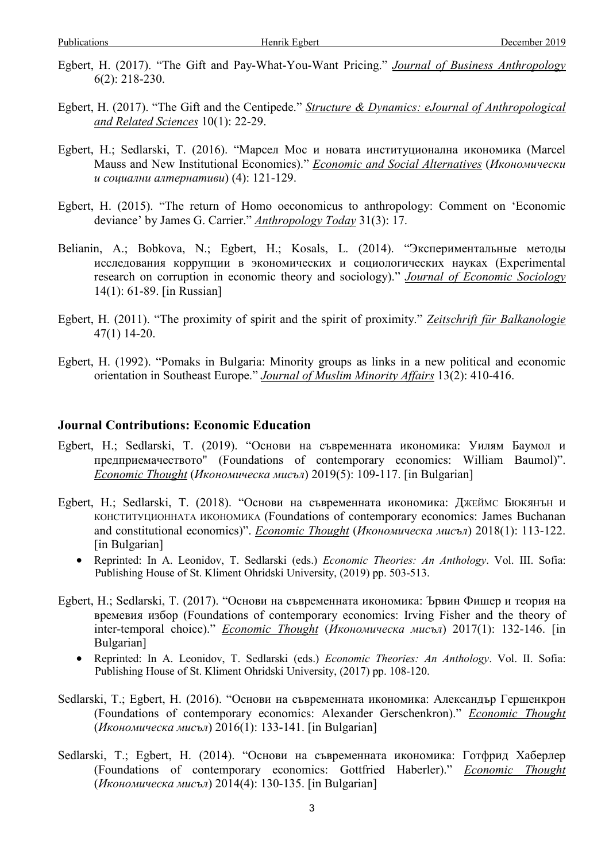- Egbert, H. (2017). "The Gift and Pay-What-You-Want Pricing." *Journal of Business Anthropology* 6(2): 218-230.
- Egbert, H. (2017). "The Gift and the Centipede." *Structure & Dynamics: eJournal of Anthropological and Related Sciences* 10(1): 22-29.
- Egbert, H.; Sedlarski, T. (2016). "Марсел Мос и новата институционална икономика (Marcel Mauss and New Institutional Economics)." *Economic and Social Alternatives* (*Икономически и социални алтернативи*) (4): 121-129.
- Egbert, H. (2015). "The return of Homo oeconomicus to anthropology: Comment on 'Economic deviance' by James G. Carrier." *Anthropology Today* 31(3): 17.
- Belianin, A.; Bobkova, N.; Egbert, H.; Kosals, L. (2014). "Экспериментальные методы исследования коррупции в экономических и социологических науках (Experimental research on corruption in economic theory and sociology)." *Journal of Economic Sociology* 14(1): 61-89. [in Russian]
- Egbert, H. (2011). "The proximity of spirit and the spirit of proximity." *Zeitschrift für Balkanologie* 47(1) 14-20.
- Egbert, H. (1992). "Pomaks in Bulgaria: Minority groups as links in a new political and economic orientation in Southeast Europe." *Journal of Muslim Minority Affairs* 13(2): 410-416.

## **Journal Contributions: Economic Education**

- Egbert, H.; Sedlarski, T. (2019). "Основи на съвременната икономика: Уилям Баумол и предприемачеството" (Foundations of contemporary economics: William Baumol)". *Economic Thought* (*Икономическа мисъл*) 2019(5): 109-117. [in Bulgarian]
- Egbert, H.; Sedlarski, T. (2018). "Основи на съвременната икономика: ДЖЕЙМС БЮКЯНЪН И КОНСТИТУЦИОННАТА ИКОНОМИКА (Foundations of contemporary economics: James Buchanan and constitutional economics)". *Economic Thought* (*Икономическа мисъл*) 2018(1): 113-122. [in Bulgarian]
	- Reprinted: In A. Leonidov, T. Sedlarski (eds.) *Economic Theories: An Anthology*. Vol. III. Sofia: Publishing House of St. Kliment Ohridski University, (2019) pp. 503-513.
- Egbert, H.; Sedlarski, T. (2017). "Основи на съвременната икономика: Ървин Фишер и теория на времевия избор (Foundations of contemporary economics: Irving Fisher and the theory of inter-temporal choice)." *Economic Thought* (*Икономическа мисъл*) 2017(1): 132-146. [in Bulgarian]
	- Reprinted: In A. Leonidov, T. Sedlarski (eds.) *Economic Theories: An Anthology*. Vol. II. Sofia: Publishing House of St. Kliment Ohridski University, (2017) pp. 108-120.
- Sedlarski, T.; Egbert, H. (2016). "Основи на съвременната икономика: Александър Гершенкрон (Foundations of contemporary economics: Alexander Gerschenkron)." *Economic Thought* (*Икономическа мисъл*) 2016(1): 133-141. [in Bulgarian]
- Sedlarski, T.; Egbert, H. (2014). "Основи на съвременната икономика: Готфрид Хаберлер (Foundations of contemporary economics: Gottfried Haberler)." *Economic Thought* (*Икономическа мисъл*) 2014(4): 130-135. [in Bulgarian]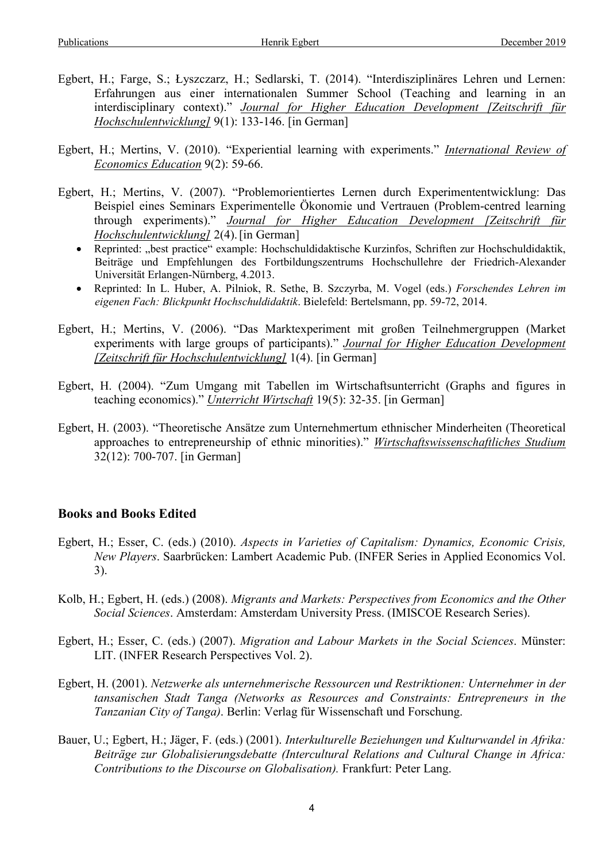- Egbert, H.; Farge, S.; Łyszczarz, H.; Sedlarski, T. (2014). "Interdisziplinäres Lehren und Lernen: Erfahrungen aus einer internationalen Summer School (Teaching and learning in an interdisciplinary context)." *Journal for Higher Education Development [Zeitschrift für Hochschulentwicklung]* 9(1): 133-146. [in German]
- Egbert, H.; Mertins, V. (2010). "Experiential learning with experiments." *International Review of Economics Education* 9(2): 59-66.
- Egbert, H.; Mertins, V. (2007). "Problemorientiertes Lernen durch Experimententwicklung: Das Beispiel eines Seminars Experimentelle Ökonomie und Vertrauen (Problem-centred learning through experiments)." *Journal for Higher Education Development [Zeitschrift für Hochschulentwicklung]* 2(4). [in German]
	- Reprinted: "best practice" example: Hochschuldidaktische Kurzinfos, Schriften zur Hochschuldidaktik, Beiträge und Empfehlungen des Fortbildungszentrums Hochschullehre der Friedrich-Alexander Universität Erlangen-Nürnberg, 4.2013.
	- Reprinted: In L. Huber, A. Pilniok, R. Sethe, B. Szczyrba, M. Vogel (eds.) *Forschendes Lehren im eigenen Fach: Blickpunkt Hochschuldidaktik*. Bielefeld: Bertelsmann, pp. 59-72, 2014.
- Egbert, H.; Mertins, V. (2006). "Das Marktexperiment mit großen Teilnehmergruppen (Market experiments with large groups of participants)." *Journal for Higher Education Development [Zeitschrift für Hochschulentwicklung]* 1(4). [in German]
- Egbert, H. (2004). "Zum Umgang mit Tabellen im Wirtschaftsunterricht (Graphs and figures in teaching economics)." *Unterricht Wirtschaft* 19(5): 32-35. [in German]
- Egbert, H. (2003). "Theoretische Ansätze zum Unternehmertum ethnischer Minderheiten (Theoretical approaches to entrepreneurship of ethnic minorities)." *Wirtschaftswissenschaftliches Studium* 32(12): 700-707. [in German]

# **Books and Books Edited**

- Egbert, H.; Esser, C. (eds.) (2010). *Aspects in Varieties of Capitalism: Dynamics, Economic Crisis, New Players*. Saarbrücken: Lambert Academic Pub. (INFER Series in Applied Economics Vol. 3).
- Kolb, H.; Egbert, H. (eds.) (2008). *Migrants and Markets: Perspectives from Economics and the Other Social Sciences*. Amsterdam: Amsterdam University Press. (IMISCOE Research Series).
- Egbert, H.; Esser, C. (eds.) (2007). *Migration and Labour Markets in the Social Sciences*. Münster: LIT. (INFER Research Perspectives Vol. 2).
- Egbert, H. (2001). *Netzwerke als unternehmerische Ressourcen und Restriktionen: Unternehmer in der tansanischen Stadt Tanga (Networks as Resources and Constraints: Entrepreneurs in the Tanzanian City of Tanga)*. Berlin: Verlag für Wissenschaft und Forschung.
- Bauer, U.; Egbert, H.; Jäger, F. (eds.) (2001). *Interkulturelle Beziehungen und Kulturwandel in Afrika: Beiträge zur Globalisierungsdebatte (Intercultural Relations and Cultural Change in Africa: Contributions to the Discourse on Globalisation).* Frankfurt: Peter Lang.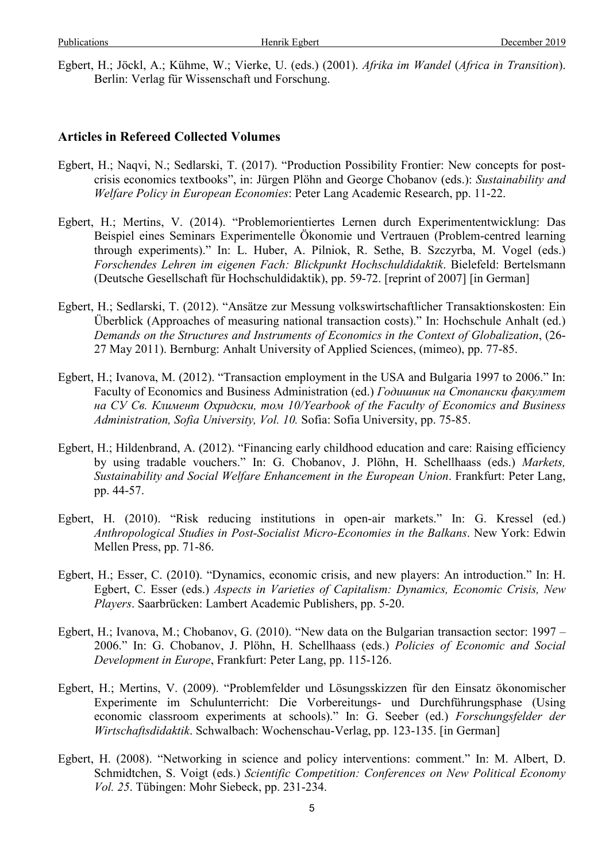Egbert, H.; Jöckl, A.; Kühme, W.; Vierke, U. (eds.) (2001). *Afrika im Wandel* (*Africa in Transition*). Berlin: Verlag für Wissenschaft und Forschung.

#### **Articles in Refereed Collected Volumes**

- Egbert, H.; Naqvi, N.; Sedlarski, T. (2017). "Production Possibility Frontier: New concepts for postcrisis economics textbooks", in: Jürgen Plöhn and George Chobanov (eds.): *Sustainability and Welfare Policy in European Economies*: Peter Lang Academic Research, pp. 11-22.
- Egbert, H.; Mertins, V. (2014). "Problemorientiertes Lernen durch Experimententwicklung: Das Beispiel eines Seminars Experimentelle Ökonomie und Vertrauen (Problem-centred learning through experiments)." In: L. Huber, A. Pilniok, R. Sethe, B. Szczyrba, M. Vogel (eds.) *Forschendes Lehren im eigenen Fach: Blickpunkt Hochschuldidaktik*. Bielefeld: Bertelsmann (Deutsche Gesellschaft für Hochschuldidaktik), pp. 59-72. [reprint of 2007] [in German]
- Egbert, H.; Sedlarski, T. (2012). "Ansätze zur Messung volkswirtschaftlicher Transaktionskosten: Ein Überblick (Approaches of measuring national transaction costs)." In: Hochschule Anhalt (ed.) *Demands on the Structures and Instruments of Economics in the Context of Globalization*, (26- 27 May 2011). Bernburg: Anhalt University of Applied Sciences, (mimeo), pp. 77-85.
- Egbert, H.; Ivanova, M. (2012). "Transaction employment in the USA and Bulgaria 1997 to 2006." In: Faculty of Economics and Business Administration (ed.) *Годишник на Стопански факултет на СУ Св. Климент Охридски, том 10/Yearbook of the Faculty of Economics and Business Administration, Sofia University, Vol. 10.* Sofia: Sofia University, pp. 75-85.
- Egbert, H.; Hildenbrand, A. (2012). "Financing early childhood education and care: Raising efficiency by using tradable vouchers." In: G. Chobanov, J. Plöhn, H. Schellhaass (eds.) *Markets, Sustainability and Social Welfare Enhancement in the European Union*. Frankfurt: Peter Lang, pp. 44-57.
- Egbert, H. (2010). "Risk reducing institutions in open-air markets." In: G. Kressel (ed.) *Anthropological Studies in Post-Socialist Micro-Economies in the Balkans*. New York: Edwin Mellen Press, pp. 71-86.
- Egbert, H.; Esser, C. (2010). "Dynamics, economic crisis, and new players: An introduction." In: H. Egbert, C. Esser (eds.) *Aspects in Varieties of Capitalism: Dynamics, Economic Crisis, New Players*. Saarbrücken: Lambert Academic Publishers, pp. 5-20.
- Egbert, H.; Ivanova, M.; Chobanov, G. (2010). "New data on the Bulgarian transaction sector: 1997 2006." In: G. Chobanov, J. Plöhn, H. Schellhaass (eds.) *Policies of Economic and Social Development in Europe*, Frankfurt: Peter Lang, pp. 115-126.
- Egbert, H.; Mertins, V. (2009). "Problemfelder und Lösungsskizzen für den Einsatz ökonomischer Experimente im Schulunterricht: Die Vorbereitungs- und Durchführungsphase (Using economic classroom experiments at schools)." In: G. Seeber (ed.) *Forschungsfelder der Wirtschaftsdidaktik*. Schwalbach: Wochenschau-Verlag, pp. 123-135. [in German]
- Egbert, H. (2008). "Networking in science and policy interventions: comment." In: M. Albert, D. Schmidtchen, S. Voigt (eds.) *Scientific Competition: Conferences on New Political Economy Vol. 25*. Tübingen: Mohr Siebeck, pp. 231-234.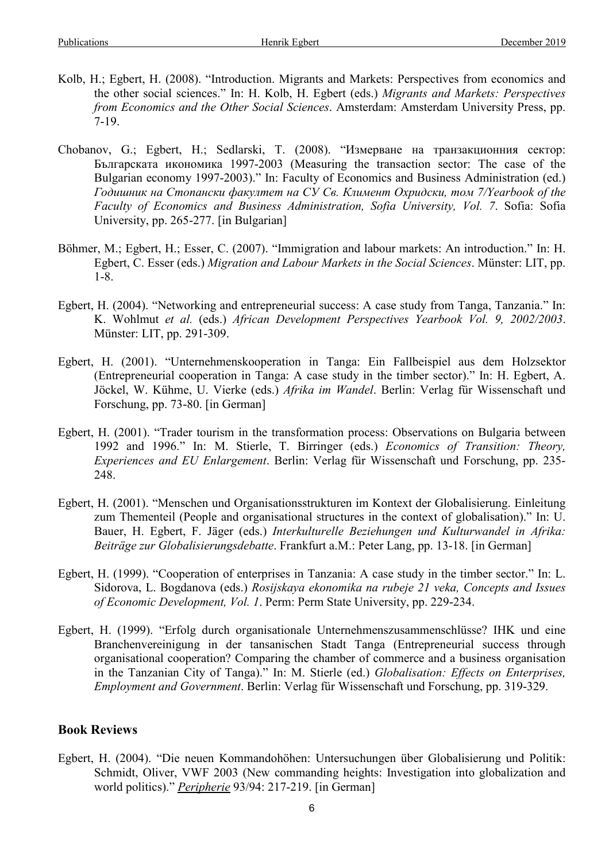- Kolb, H.; Egbert, H. (2008). "Introduction. Migrants and Markets: Perspectives from economics and the other social sciences." In: H. Kolb, H. Egbert (eds.) *Migrants and Markets: Perspectives from Economics and the Other Social Sciences*. Amsterdam: Amsterdam University Press, pp. 7-19.
- Chobanov, G.; Egbert, H.; Sedlarski, T. (2008). "Измерване на транзакционния сектор: Българската икономика 1997-2003 (Measuring the transaction sector: The case of the Bulgarian economy 1997-2003)." In: Faculty of Economics and Business Administration (ed.) *Годишник на Стопански факултет на СУ Св. Климент Охридски, том 7/Yearbook of the Faculty of Economics and Business Administration, Sofia University, Vol. 7*. Sofia: Sofia University, pp. 265-277. [in Bulgarian]
- Böhmer, M.; Egbert, H.; Esser, C. (2007). "Immigration and labour markets: An introduction." In: H. Egbert, C. Esser (eds.) *Migration and Labour Markets in the Social Sciences*. Münster: LIT, pp. 1-8.
- Egbert, H. (2004). "Networking and entrepreneurial success: A case study from Tanga, Tanzania." In: K. Wohlmut *et al.* (eds.) *African Development Perspectives Yearbook Vol. 9, 2002/2003*. Münster: LIT, pp. 291-309.
- Egbert, H. (2001). "Unternehmenskooperation in Tanga: Ein Fallbeispiel aus dem Holzsektor (Entrepreneurial cooperation in Tanga: A case study in the timber sector)." In: H. Egbert, A. Jöckel, W. Kühme, U. Vierke (eds.) *Afrika im Wandel*. Berlin: Verlag für Wissenschaft und Forschung, pp. 73-80. [in German]
- Egbert, H. (2001). "Trader tourism in the transformation process: Observations on Bulgaria between 1992 and 1996." In: M. Stierle, T. Birringer (eds.) *Economics of Transition: Theory, Experiences and EU Enlargement*. Berlin: Verlag für Wissenschaft und Forschung, pp. 235- 248.
- Egbert, H. (2001). "Menschen und Organisationsstrukturen im Kontext der Globalisierung. Einleitung zum Thementeil (People and organisational structures in the context of globalisation)." In: U. Bauer, H. Egbert, F. Jäger (eds.) *Interkulturelle Beziehungen und Kulturwandel in Afrika: Beiträge zur Globalisierungsdebatte*. Frankfurt a.M.: Peter Lang, pp. 13-18. [in German]
- Egbert, H. (1999). "Cooperation of enterprises in Tanzania: A case study in the timber sector." In: L. Sidorova, L. Bogdanova (eds.) *Rosijskaya ekonomika na rubeje 21 veka, Concepts and Issues of Economic Development, Vol. 1*. Perm: Perm State University, pp. 229-234.
- Egbert, H. (1999). "Erfolg durch organisationale Unternehmenszusammenschlüsse? IHK und eine Branchenvereinigung in der tansanischen Stadt Tanga (Entrepreneurial success through organisational cooperation? Comparing the chamber of commerce and a business organisation in the Tanzanian City of Tanga)." In: M. Stierle (ed.) *Globalisation: Effects on Enterprises, Employment and Government*. Berlin: Verlag für Wissenschaft und Forschung, pp. 319-329.

# **Book Reviews**

Egbert, H. (2004). "Die neuen Kommandohöhen: Untersuchungen über Globalisierung und Politik: Schmidt, Oliver, VWF 2003 (New commanding heights: Investigation into globalization and world politics)." *Peripherie* 93/94: 217-219. [in German]